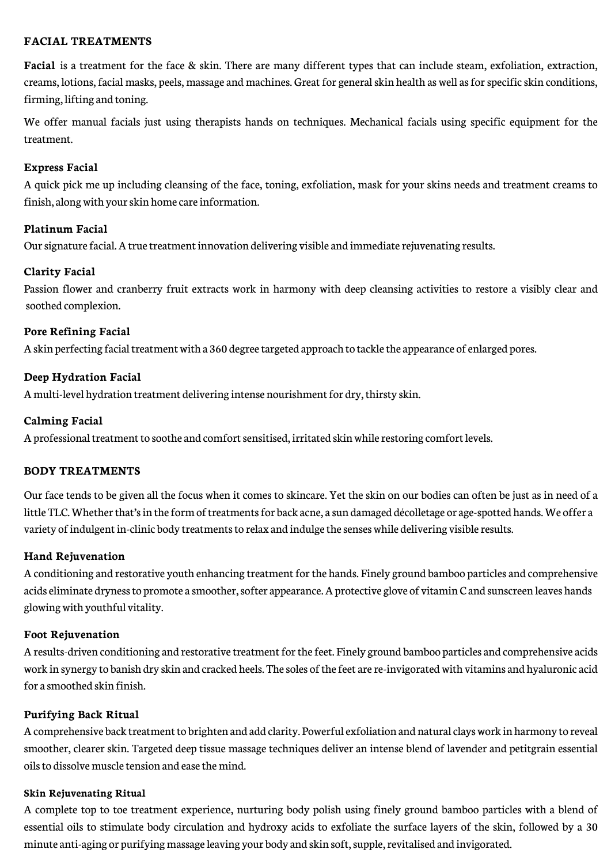# **FACIAL TREATMENTS**

**Facial** is a treatment for the face & skin. There are many different types that can include steam, exfoliation, extraction, creams, lotions, facial masks, peels, massage and machines. Great for general skin health as well as for specific skin conditions, firming, lifting and toning.

We offer manual facials just using therapists hands on techniques. Mechanical facials using specific equipment for the treatment.

# **Express Facial**

A quick pick me up including cleansing of the face, toning, exfoliation, mask for your skins needs and treatment creams to finish, along with your skin home care information.

# **Platinum Facial**

Our signature facial. A true treatment innovation delivering visible and immediate rejuvenating results.

# **Clarity Facial**

Passion flower and cranberry fruit extracts work in harmony with deep cleansing activities to restore a visibly clear and soothed complexion.

# **Pore Refining Facial**

A skin perfecting facial treatment with a 360 degree targeted approach to tackle the appearance of enlarged pores.

# **Deep Hydration Facial**

A multi-level hydration treatment delivering intense nourishment for dry, thirsty skin.

# **Calming Facial**

A professional treatment to soothe and comfort sensitised, irritated skin while restoring comfort levels.

## **BODY TREATMENTS**

Our face tends to be given all the focus when it comes to skincare. Yet the skin on our bodies can often be just as in need of a little TLC. Whether that's in the form of treatments for back acne, a sun damaged décolletage or age-spotted hands. We offer a variety of indulgent in-clinic body treatments to relax and indulge the senses while delivering visible results.

## **Hand Rejuvenation**

A conditioning and restorative youth enhancing treatment for the hands. Finely ground bamboo particles and comprehensive acids eliminate dryness to promote a smoother, softer appearance. A protective glove of vitamin C and sunscreen leaves hands glowing with youthful vitality.

## **Foot Rejuvenation**

A results-driven conditioning and restorative treatment for the feet. Finely ground bamboo particles and comprehensive acids work in synergy to banish dry skin and cracked heels. The soles of the feet are re-invigorated with vitamins and hyaluronic acid for a smoothed skin finish.

## **Purifying Back Ritual**

A comprehensive back treatment to brighten and add clarity. Powerful exfoliation and natural clays work in harmony to reveal smoother, clearer skin. Targeted deep tissue massage techniques deliver an intense blend of lavender and petitgrain essential oils to dissolve muscle tension and ease the mind.

## **Skin Rejuvenating Ritual**

A complete top to toe treatment experience, nurturing body polish using finely ground bamboo particles with a blend of essential oils to stimulate body circulation and hydroxy acids to exfoliate the surface layers of the skin, followed by a 30 minute anti-aging or purifying massage leaving your body and skin soft, supple, revitalised and invigorated.